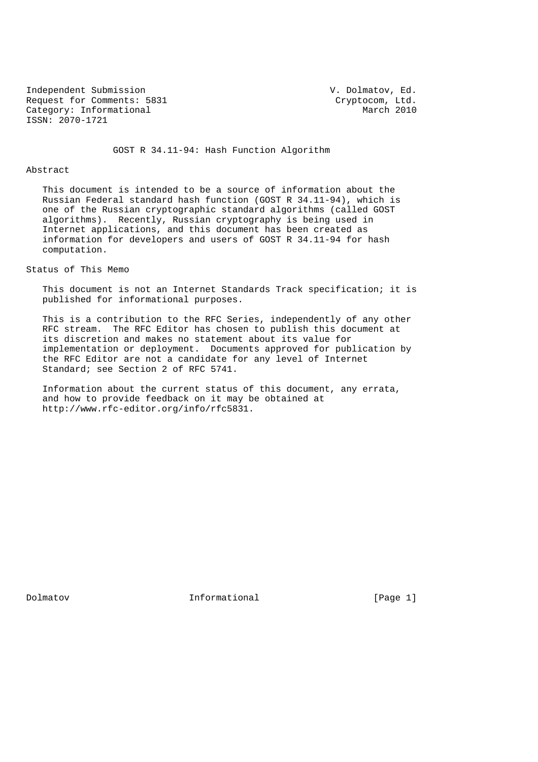Independent Submission V. Dolmatov, Ed. Request for Comments: 5831 Cryptocom, Ltd.<br>
Category: Informational March 2010 Category: Informational ISSN: 2070-1721

GOST R 34.11-94: Hash Function Algorithm

## Abstract

 This document is intended to be a source of information about the Russian Federal standard hash function (GOST R 34.11-94), which is one of the Russian cryptographic standard algorithms (called GOST algorithms). Recently, Russian cryptography is being used in Internet applications, and this document has been created as information for developers and users of GOST R 34.11-94 for hash computation.

### Status of This Memo

 This document is not an Internet Standards Track specification; it is published for informational purposes.

 This is a contribution to the RFC Series, independently of any other RFC stream. The RFC Editor has chosen to publish this document at its discretion and makes no statement about its value for implementation or deployment. Documents approved for publication by the RFC Editor are not a candidate for any level of Internet Standard; see Section 2 of RFC 5741.

 Information about the current status of this document, any errata, and how to provide feedback on it may be obtained at http://www.rfc-editor.org/info/rfc5831.

Dolmatov Informational [Page 1]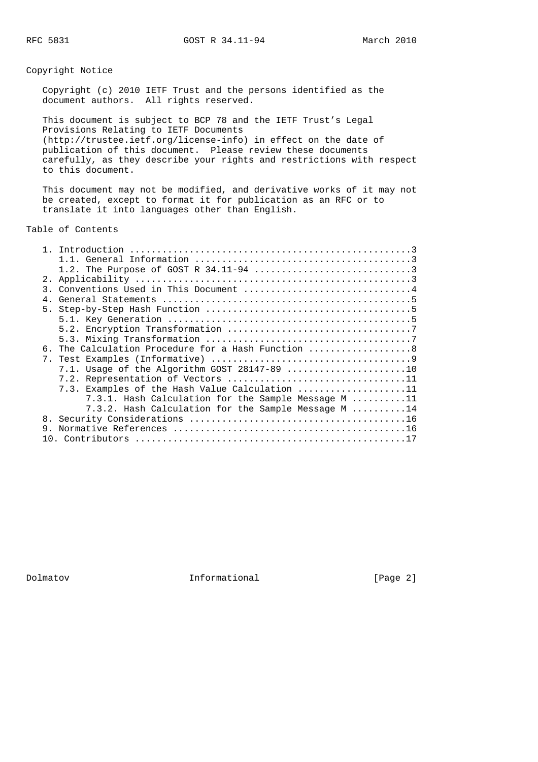RFC 5831 GOST R 34.11-94 March 2010

## Copyright Notice

 Copyright (c) 2010 IETF Trust and the persons identified as the document authors. All rights reserved.

 This document is subject to BCP 78 and the IETF Trust's Legal Provisions Relating to IETF Documents (http://trustee.ietf.org/license-info) in effect on the date of publication of this document. Please review these documents carefully, as they describe your rights and restrictions with respect to this document.

 This document may not be modified, and derivative works of it may not be created, except to format it for publication as an RFC or to translate it into languages other than English.

Table of Contents

|    | 3. Conventions Used in This Document 4              |
|----|-----------------------------------------------------|
|    |                                                     |
|    |                                                     |
|    |                                                     |
|    |                                                     |
|    |                                                     |
|    | 6. The Calculation Procedure for a Hash Function 8  |
|    |                                                     |
|    | 7.1. Usage of the Algorithm GOST $28147-89$ 10      |
|    |                                                     |
|    | 7.3. Examples of the Hash Value Calculation 11      |
|    | 7.3.1. Hash Calculation for the Sample Message M 11 |
|    | 7.3.2. Hash Calculation for the Sample Message M 14 |
|    |                                                     |
| 9. |                                                     |
|    |                                                     |
|    |                                                     |

Dolmatov Informational [Page 2]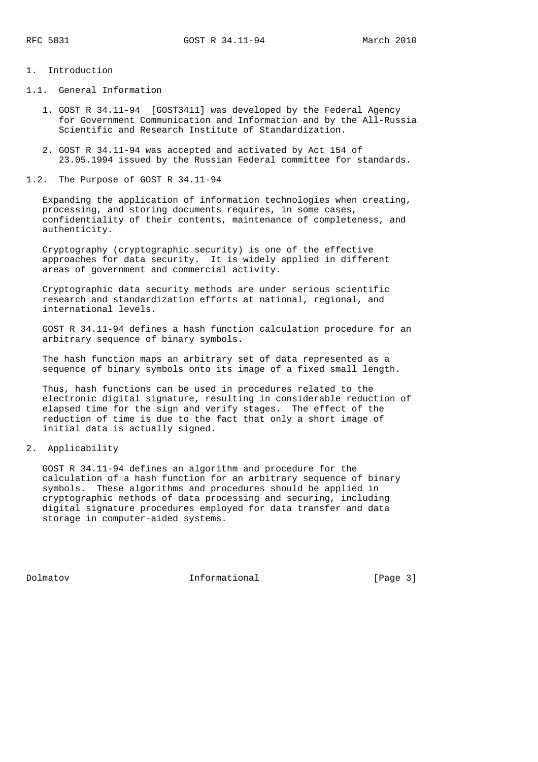# 1. Introduction

- 1.1. General Information
	- 1. GOST R 34.11-94 [GOST3411] was developed by the Federal Agency for Government Communication and Information and by the All-Russia Scientific and Research Institute of Standardization.
	- 2. GOST R 34.11-94 was accepted and activated by Act 154 of 23.05.1994 issued by the Russian Federal committee for standards.
- 1.2. The Purpose of GOST R 34.11-94

 Expanding the application of information technologies when creating, processing, and storing documents requires, in some cases, confidentiality of their contents, maintenance of completeness, and authenticity.

 Cryptography (cryptographic security) is one of the effective approaches for data security. It is widely applied in different areas of government and commercial activity.

 Cryptographic data security methods are under serious scientific research and standardization efforts at national, regional, and international levels.

 GOST R 34.11-94 defines a hash function calculation procedure for an arbitrary sequence of binary symbols.

 The hash function maps an arbitrary set of data represented as a sequence of binary symbols onto its image of a fixed small length.

 Thus, hash functions can be used in procedures related to the electronic digital signature, resulting in considerable reduction of elapsed time for the sign and verify stages. The effect of the reduction of time is due to the fact that only a short image of initial data is actually signed.

2. Applicability

 GOST R 34.11-94 defines an algorithm and procedure for the calculation of a hash function for an arbitrary sequence of binary symbols. These algorithms and procedures should be applied in cryptographic methods of data processing and securing, including digital signature procedures employed for data transfer and data storage in computer-aided systems.

Dolmatov **Informational** [Page 3]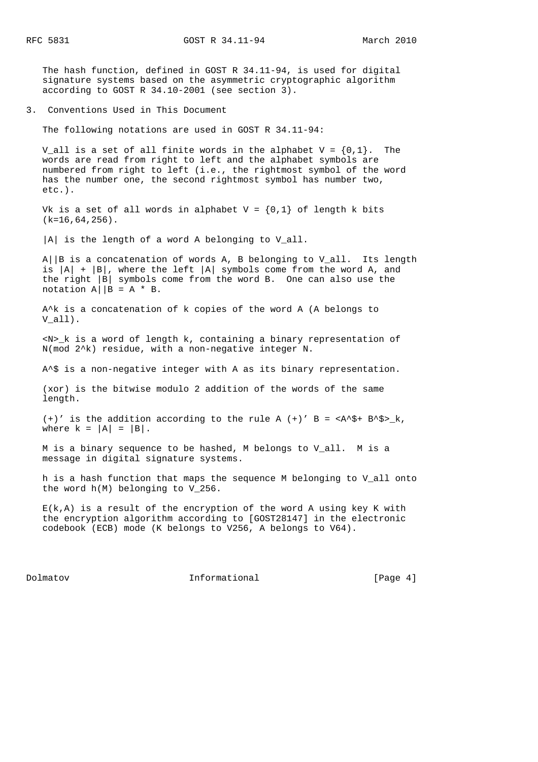RFC 5831 GOST R 34.11-94 March 2010

 The hash function, defined in GOST R 34.11-94, is used for digital signature systems based on the asymmetric cryptographic algorithm according to GOST R 34.10-2001 (see section 3).

3. Conventions Used in This Document

The following notations are used in GOST R 34.11-94:

V all is a set of all finite words in the alphabet V =  $\{0,1\}$ . The words are read from right to left and the alphabet symbols are numbered from right to left (i.e., the rightmost symbol of the word has the number one, the second rightmost symbol has number two, etc.).

Vk is a set of all words in alphabet  $V = \{0,1\}$  of length k bits  $(k=16,64,256)$ .

|A| is the length of a word A belonging to V\_all.

 A||B is a concatenation of words A, B belonging to V\_all. Its length is  $|A| + |B|$ , where the left  $|A|$  symbols come from the word A, and the right |B| symbols come from the word B. One can also use the notation  $A||B = A * B$ .

 A^k is a concatenation of k copies of the word A (A belongs to V\_all).

 <N>\_k is a word of length k, containing a binary representation of N(mod 2^k) residue, with a non-negative integer N.

A^\$ is a non-negative integer with A as its binary representation.

 (xor) is the bitwise modulo 2 addition of the words of the same length.

(+)' is the addition according to the rule A (+)' B =  $\langle A^* \rangle^+$  B^\$>\_k, where  $k = |A| = |B|$ .

 M is a binary sequence to be hashed, M belongs to V\_all. M is a message in digital signature systems.

 h is a hash function that maps the sequence M belonging to V\_all onto the word h(M) belonging to V\_256.

 E(k,A) is a result of the encryption of the word A using key K with the encryption algorithm according to [GOST28147] in the electronic codebook (ECB) mode (K belongs to V256, A belongs to V64).

Dolmatov **Informational** [Page 4]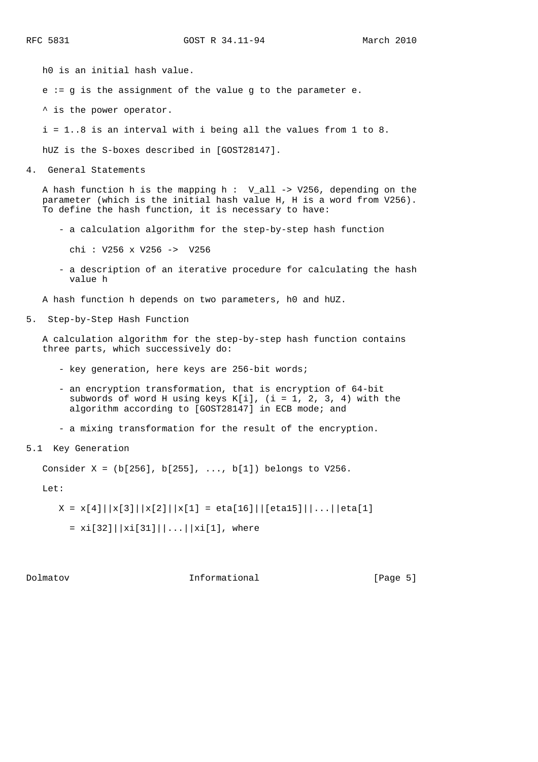h0 is an initial hash value.

e := g is the assignment of the value g to the parameter e.

^ is the power operator.

i = 1..8 is an interval with i being all the values from 1 to 8.

hUZ is the S-boxes described in [GOST28147].

4. General Statements

 A hash function h is the mapping h : V\_all -> V256, depending on the parameter (which is the initial hash value H, H is a word from V256). To define the hash function, it is necessary to have:

- a calculation algorithm for the step-by-step hash function

chi : V256 x V256 -> V256

 - a description of an iterative procedure for calculating the hash value h

A hash function h depends on two parameters, h0 and hUZ.

5. Step-by-Step Hash Function

 A calculation algorithm for the step-by-step hash function contains three parts, which successively do:

- key generation, here keys are 256-bit words;
- an encryption transformation, that is encryption of 64-bit subwords of word H using keys K[i], (i = 1, 2, 3, 4) with the algorithm according to [GOST28147] in ECB mode; and
- a mixing transformation for the result of the encryption.
- 5.1 Key Generation

Consider X = (b[256], b[255], ..., b[1]) belongs to V256.

Let:

 $X = x[4] |x[3] |x[2] |x[1] = eta[16] |[eta15] |...| |eta[1]$ 

 $= xi[32]||xi[31]||...||xi[1],$  where

Dolmatov **Informational** [Page 5]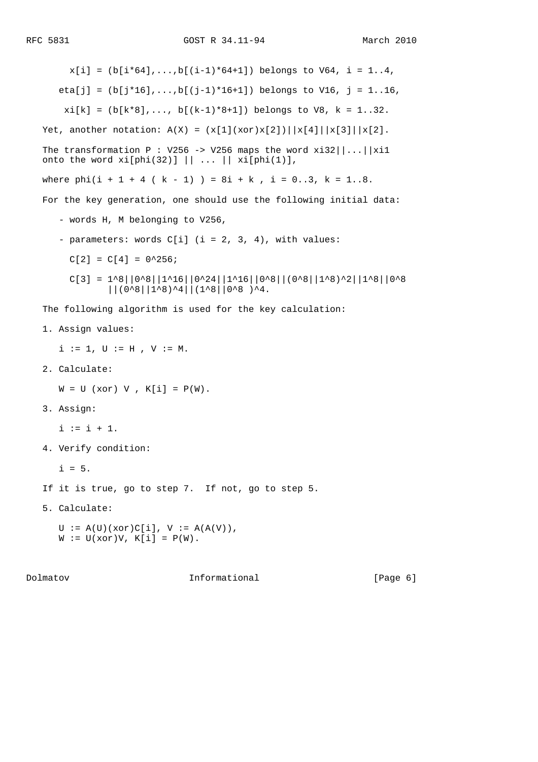$x[i] = (b[i*64], \ldots, b[(i-1)*64+1])$  belongs to  $V64$ ,  $i = 1..4$ , eta[j] =  $(b[j*16], \ldots, b[(j-1)*16+1])$  belongs to V16, j = 1..16,  $xi[k] = (b[k*8], \ldots, b[(k-1)*8+1])$  belongs to V8,  $k = 1..32$ . Yet, another notation:  $A(X) = (x[1](xor)x[2]) \mid |x[4]| |x[3]| |x[2]$ . The transformation P : V256 -> V256 maps the word  $xi32||...||xi1$ onto the word  $xi[phi(32)] || ... || xif[phi(1)],$ where  $phi(1 + 1 + 4 (k - 1)) = 8i + k$ ,  $i = 0..3$ ,  $k = 1..8$ . For the key generation, one should use the following initial data: - words H, M belonging to V256, - parameters: words  $C[i]$  (i = 2, 3, 4), with values:  $C[2] = C[4] = 0^2256;$  $C[3] = 1^8|0^8|1^16|0^24|1^16|0^8|0^8|0^8|0^8|1^80^2|1^8|0^8$  ||(0^8||1^8)^4||(1^8||0^8 )^4. The following algorithm is used for the key calculation: 1. Assign values:  $i := 1, U := H, V := M.$  2. Calculate:  $W = U (xor) V$ ,  $K[i] = P(W)$ . 3. Assign:  $i := i + 1$ . 4. Verify condition:

 $i = 5.$ 

If it is true, go to step 7. If not, go to step 5.

5. Calculate:

 $\mathtt{U}\ \mathrel{\mathop:}= \ \mathtt{A}(\mathtt{U})\,(\mathtt{xor})\mathtt{C}[\mathtt{i}]\,,\ \mathtt{V}\ \mathrel{\mathop:}= \ \mathtt{A}(\mathtt{A}(\mathtt{V}))\,,$  $W := U(xor)V, K[i] = P(W).$ 

Dolmatov **Informational** [Page 6]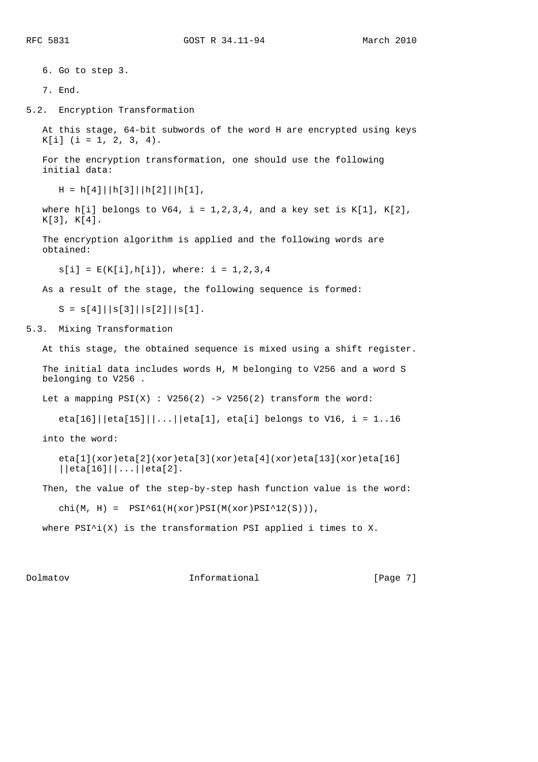RFC 5831 GOST R 34.11-94 March 2010

 6. Go to step 3. 7. End. 5.2. Encryption Transformation At this stage, 64-bit subwords of the word H are encrypted using keys  $K[i]$  (i = 1, 2, 3, 4). For the encryption transformation, one should use the following initial data:  $H = h[4] |h[3] |h[2] |h[1],$ where h[i] belongs to  $V64$ , i = 1,2,3,4, and a key set is K[1], K[2], K[3], K[4]. The encryption algorithm is applied and the following words are obtained:  $s[i] = E(K[i], h[i])$ , where:  $i = 1, 2, 3, 4$  As a result of the stage, the following sequence is formed:  $S = s[4] \mid |s[3] \mid |s[2] \mid |s[1].$ 5.3. Mixing Transformation At this stage, the obtained sequence is mixed using a shift register. The initial data includes words H, M belonging to V256 and a word S belonging to V256 . Let a mapping  $PSI(X)$  : V256(2) -> V256(2) transform the word: eta[16]||eta[15]||...||eta[1], eta[i] belongs to V16, i = 1..16 into the word: eta[1](xor)eta[2](xor)eta[3](xor)eta[4](xor)eta[13](xor)eta[16] ||eta[16]||...||eta[2]. Then, the value of the step-by-step hash function value is the word: chi(M, H) =  $PSI^61(H(xor)PSI(M(xor)PSI^12(S)))$ , where  $PSI^i(X)$  is the transformation PSI applied i times to X.

Dolmatov **Informational** [Page 7]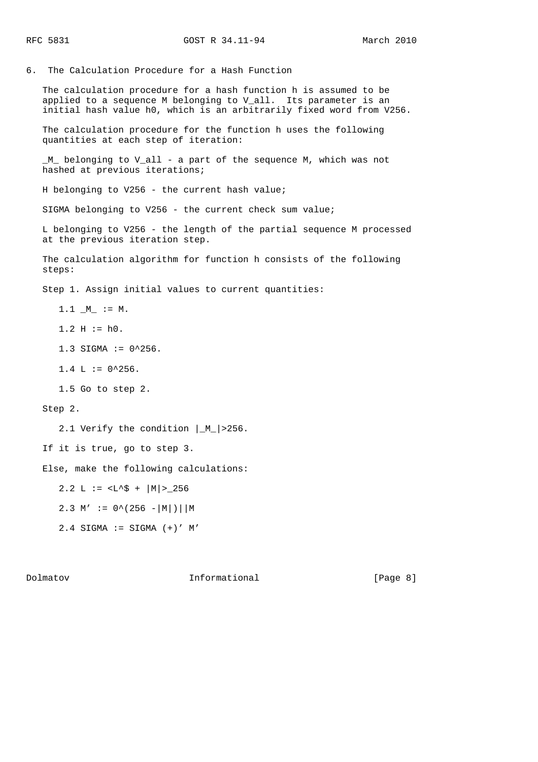6. The Calculation Procedure for a Hash Function

 The calculation procedure for a hash function h is assumed to be applied to a sequence M belonging to V\_all. Its parameter is an initial hash value h0, which is an arbitrarily fixed word from V256.

 The calculation procedure for the function h uses the following quantities at each step of iteration:

 \_M\_ belonging to V\_all - a part of the sequence M, which was not hashed at previous iterations;

H belonging to V256 - the current hash value;

SIGMA belonging to V256 - the current check sum value;

 L belonging to V256 - the length of the partial sequence M processed at the previous iteration step.

 The calculation algorithm for function h consists of the following steps:

Step 1. Assign initial values to current quantities:

 $1.1 \_M$  := M.

 $1.2 H := h0.$ 

1.3 SIGMA :=  $0^256$ .

 $1.4$  L :=  $0^{\text{-}}256$ .

1.5 Go to step 2.

Step 2.

2.1 Verify the condition  $|M| > 256$ .

If it is true, go to step 3.

Else, make the following calculations:

2.2 L  $:=$  <L^\$ +  $|M| > 256$ 

2.3 M' :=  $0^{\circ}$  (256 -|M|)||M

 $2.4$  SIGMA := SIGMA  $(+)'$  M'

Dolmatov **Informational** [Page 8]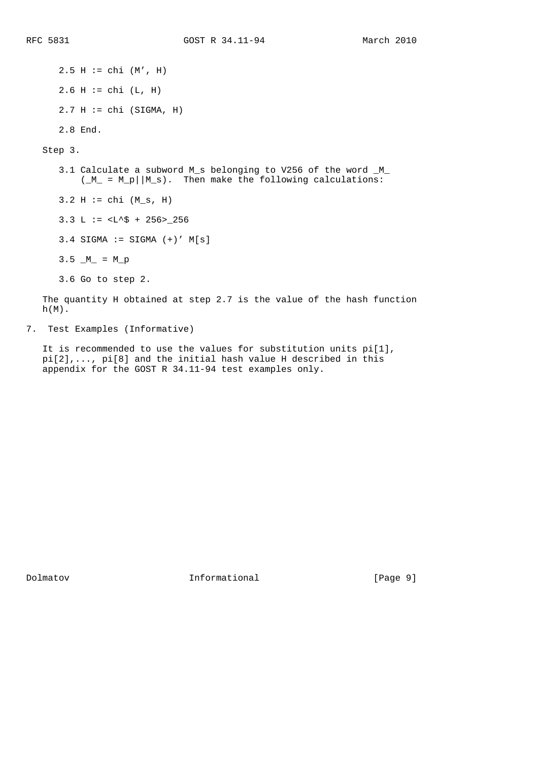$2.5 H := chi (M', H)$  $2.6 H := chi (L, H)$  $2.7 H := chi (SIGMA, H)$  2.8 End. Step 3. 3.1 Calculate a subword M\_s belonging to V256 of the word \_M\_  $(M_ = M_p||M_s)$ . Then make the following calculations:  $3.2 H := chi (M_s, H)$ 3.3 L  $:=$  <L^\$ + 256>\_256  $3.4$  SIGMA := SIGMA  $(+)$ ' M[s]  $3.5 \_M = M_p$  3.6 Go to step 2. The quantity H obtained at step 2.7 is the value of the hash function  $h(M)$ .

7. Test Examples (Informative)

 It is recommended to use the values for substitution units pi[1], pi[2],..., pi[8] and the initial hash value H described in this appendix for the GOST R 34.11-94 test examples only.

Dolmatov Informational [Page 9]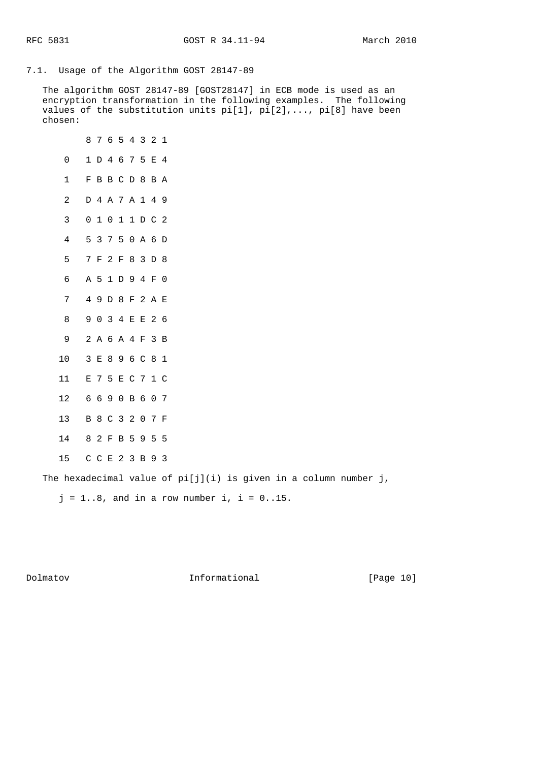7.1. Usage of the Algorithm GOST 28147-89

 The algorithm GOST 28147-89 [GOST28147] in ECB mode is used as an encryption transformation in the following examples. The following values of the substitution units pi[1], pi[2],..., pi[8] have been chosen:

|              | 8              |                 | 7 6 5 4 3 2      |    |             |         |       | 1           |  |
|--------------|----------------|-----------------|------------------|----|-------------|---------|-------|-------------|--|
| 0            | 1              |                 | D 4 6 7 5        |    |             |         | E 4   |             |  |
| 1            | F              |                 | BBCD8BA          |    |             |         |       |             |  |
| 2            | D              | 4 A 7 A 1 4 9   |                  |    |             |         |       |             |  |
| 3            | 0              |                 | 1011DC2          |    |             |         |       |             |  |
| 4            | 5              | 3 7 5 0 A 6     |                  |    |             |         |       | $\mathbb D$ |  |
| 5            | 7              |                 | $F$ 2 $F$        |    | 8 3 D       |         |       | - 8         |  |
| 6            |                | A 5 1           |                  |    | D 9 4 F     |         |       | 0           |  |
| 7            | $\overline{4}$ | 9               |                  |    | D 8 F 2 A E |         |       |             |  |
| 8            | 9              |                 | 0 3 4 E E 2 6    |    |             |         |       |             |  |
| 9            |                | 2 A 6 A 4 F 3   |                  |    |             |         |       | B           |  |
| 10           | $\mathbf{3}$   | $\mathbf E$     |                  |    | 8 9 6 C 8   |         |       | $\mathbf 1$ |  |
| 11           | E              |                 | 7 5 E C 7 1 C    |    |             |         |       |             |  |
| 12           |                | 6690B607        |                  |    |             |         |       |             |  |
| 13           |                | B 8 C 3 2 0 7 F |                  |    |             |         |       |             |  |
| 14           |                | 8 2 F B 5 9 5   |                  |    |             |         |       | 5           |  |
| 15           |                | C C E 2 3       |                  |    |             |         | B 9 3 |             |  |
| m1.<br>$1 -$ | л.             |                 | والمتعاط المتارة | п. |             | $T = 1$ |       | c           |  |

The hexadecimal value of pi[j](i) is given in a column number j,

 $j = 1..8$ , and in a row number i, i =  $0..15$ .

Dolmatov Informational [Page 10]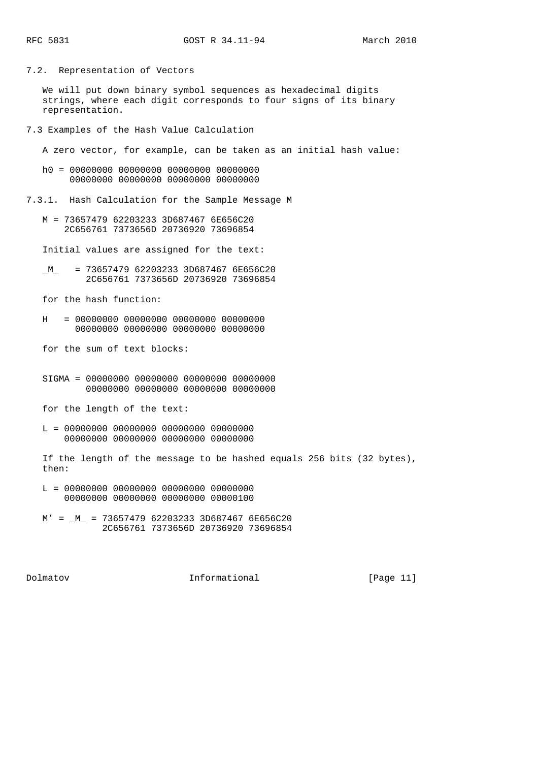7.2. Representation of Vectors

 We will put down binary symbol sequences as hexadecimal digits strings, where each digit corresponds to four signs of its binary representation.

7.3 Examples of the Hash Value Calculation

A zero vector, for example, can be taken as an initial hash value:

 h0 = 00000000 00000000 00000000 00000000 00000000 00000000 00000000 00000000

7.3.1. Hash Calculation for the Sample Message M

 M = 73657479 62203233 3D687467 6E656C20 2C656761 7373656D 20736920 73696854

Initial values are assigned for the text:

 $M$  = 73657479 62203233 3D687467 6E656C20 2C656761 7373656D 20736920 73696854

for the hash function:

 $H = 00000000 00000000 00000000 00000000$ 00000000 00000000 00000000 00000000

for the sum of text blocks:

 SIGMA = 00000000 00000000 00000000 00000000 00000000 00000000 00000000 00000000

for the length of the text:

 L = 00000000 00000000 00000000 00000000 00000000 00000000 00000000 00000000

 If the length of the message to be hashed equals 256 bits (32 bytes), then:

- L = 00000000 00000000 00000000 00000000 00000000 00000000 00000000 00000100
- $M' = M$  = 73657479 62203233 3D687467 6E656C20 2C656761 7373656D 20736920 73696854

Dolmatov Informational [Page 11]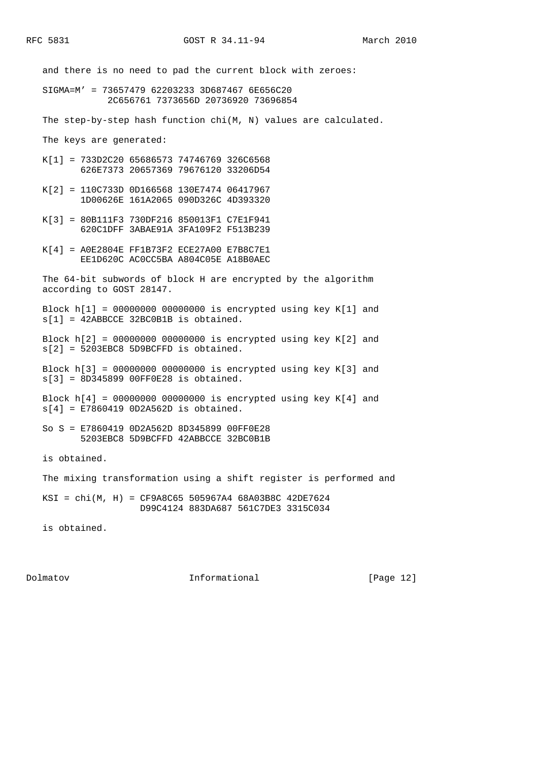and there is no need to pad the current block with zeroes: SIGMA=M' = 73657479 62203233 3D687467 6E656C20 2C656761 7373656D 20736920 73696854 The step-by-step hash function chi(M, N) values are calculated. The keys are generated: K[1] = 733D2C20 65686573 74746769 326C6568 626E7373 20657369 79676120 33206D54 K[2] = 110C733D 0D166568 130E7474 06417967 1D00626E 161A2065 090D326C 4D393320 K[3] = 80B111F3 730DF216 850013F1 C7E1F941 620C1DFF 3ABAE91A 3FA109F2 F513B239 K[4] = A0E2804E FF1B73F2 ECE27A00 E7B8C7E1 EE1D620C AC0CC5BA A804C05E A18B0AEC The 64-bit subwords of block H are encrypted by the algorithm according to GOST 28147. Block h[1] = 00000000 00000000 is encrypted using key K[1] and  $s[1] = 42$ ABBCCE 32BC0B1B is obtained. Block h[2] = 00000000 00000000 is encrypted using key K[2] and s[2] = 5203EBC8 5D9BCFFD is obtained. Block h[3] = 00000000 00000000 is encrypted using key K[3] and s[3] = 8D345899 00FF0E28 is obtained. Block h[4] = 00000000 00000000 is encrypted using key K[4] and  $s[4] = E7860419$  0D2A562D is obtained. So S = E7860419 0D2A562D 8D345899 00FF0E28 5203EBC8 5D9BCFFD 42ABBCCE 32BC0B1B is obtained. The mixing transformation using a shift register is performed and KSI = chi(M, H) = CF9A8C65 505967A4 68A03B8C 42DE7624 D99C4124 883DA687 561C7DE3 3315C034

is obtained.

Dolmatov Informational [Page 12]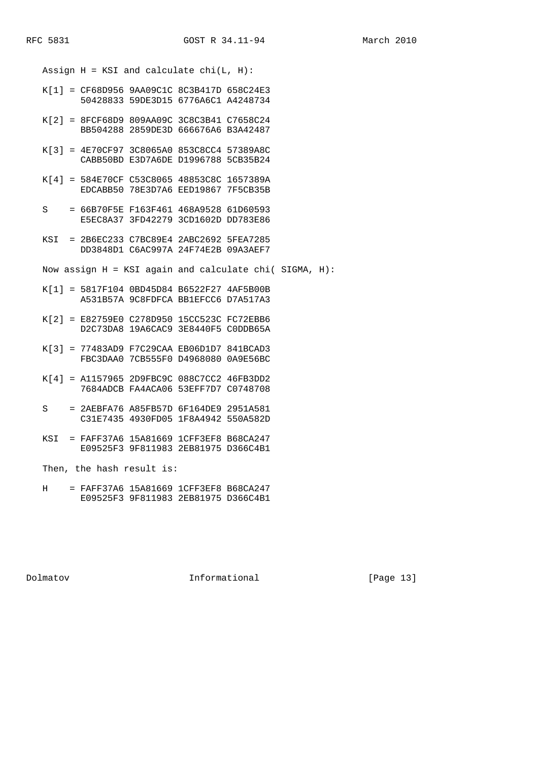Assign  $H = KSI$  and calculate chi(L,  $H$ ):

- K[1] = CF68D956 9AA09C1C 8C3B417D 658C24E3 50428833 59DE3D15 6776A6C1 A4248734
- K[2] = 8FCF68D9 809AA09C 3C8C3B41 C7658C24 BB504288 2859DE3D 666676A6 B3A42487
- K[3] = 4E70CF97 3C8065A0 853C8CC4 57389A8C CABB50BD E3D7A6DE D1996788 5CB35B24
- K[4] = 584E70CF C53C8065 48853C8C 1657389A EDCABB50 78E3D7A6 EED19867 7F5CB35B
- S = 66B70F5E F163F461 468A9528 61D60593 E5EC8A37 3FD42279 3CD1602D DD783E86
- KSI = 2B6EC233 C7BC89E4 2ABC2692 5FEA7285 DD3848D1 C6AC997A 24F74E2B 09A3AEF7
- Now assign  $H = KST$  again and calculate chi( SIGMA,  $H$ ):
- K[1] = 5817F104 0BD45D84 B6522F27 4AF5B00B A531B57A 9C8FDFCA BB1EFCC6 D7A517A3
- K[2] = E82759E0 C278D950 15CC523C FC72EBB6 D2C73DA8 19A6CAC9 3E8440F5 C0DDB65A
- K[3] = 77483AD9 F7C29CAA EB06D1D7 841BCAD3 FBC3DAA0 7CB555F0 D4968080 0A9E56BC
- K[4] = A1157965 2D9FBC9C 088C7CC2 46FB3DD2 7684ADCB FA4ACA06 53EFF7D7 C0748708
- S = 2AEBFA76 A85FB57D 6F164DE9 2951A581 C31E7435 4930FD05 1F8A4942 550A582D
- KSI = FAFF37A6 15A81669 1CFF3EF8 B68CA247 E09525F3 9F811983 2EB81975 D366C4B1

Then, the hash result is:

 H = FAFF37A6 15A81669 1CFF3EF8 B68CA247 E09525F3 9F811983 2EB81975 D366C4B1

Dolmatov Informational [Page 13]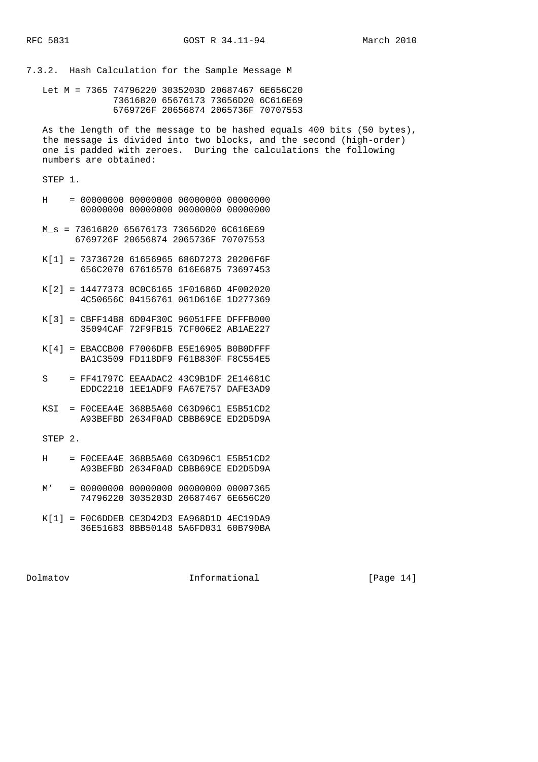7.3.2. Hash Calculation for the Sample Message M

 Let M = 7365 74796220 3035203D 20687467 6E656C20 73616820 65676173 73656D20 6C616E69 6769726F 20656874 2065736F 70707553

 As the length of the message to be hashed equals 400 bits (50 bytes), the message is divided into two blocks, and the second (high-order) one is padded with zeroes. During the calculations the following numbers are obtained:

STEP 1.

| Н           | $=$ | 00000000<br>00000000        | 00000000<br>00000000                         | 00000000<br>00000000        | 00000000<br>00000000        |
|-------------|-----|-----------------------------|----------------------------------------------|-----------------------------|-----------------------------|
| M s         | $=$ | 73616820<br>6769726F        | 65676173<br>20656874                         | 73656D20<br>2065736F        | 6C616E69<br>70707553        |
| K[1]        | $=$ | 73736720<br>656C2070        | 61656965<br>67616570                         | 686D7273<br>616E6875        | 20206F6F<br>73697453        |
| K[2]        | $=$ | 14477373<br>4C50656C        | 0C0C6165<br>04156761                         | 1F01686D<br>061D616E        | 4F002020<br>1D277369        |
| K[3]        | $=$ | CBFF14B8<br>35094CAF        | 6D04F30C<br>72F9FB15                         | 96051FFE<br><b>7CF006E2</b> | DFFFB000<br><b>AB1AE227</b> |
| K[4]        | $=$ | EBACCB00<br><b>BA1C3509</b> | F7006DFB<br>FD118DF9                         | E5E16905<br>F61B830F        | B0B0DFFF<br>F8C554E5        |
| S           | $=$ | FF41797C<br>EDDC2210        | EEAADAC2<br>1EE1ADF9                         | 43C9B1DF<br><b>FA67E757</b> | 2E14681C<br>DAFE3AD9        |
| KSI         | $=$ | FOCEEA4E<br>A93BEFBD        | 368B5A60<br>2634F0AD                         | C63D96C1<br>CBBB69CE        | E5B51CD2<br>ED2D5D9A        |
| <b>STEP</b> | 2.  |                             |                                              |                             |                             |
| Η           | $=$ | F0CEEA4E<br>A93BEFBD        | 368B5A60<br>2634F0AD                         | C63D96C1<br>CBBB69CE        | E5B51CD2<br>ED2D5D9A        |
| M'          | $=$ | 00000000<br>74796220        | 00000000<br>3035203D                         | 00000000<br>20687467        | 00007365<br>6E656C20        |
|             |     |                             | $K[1] = F0C6DDER CF3D42D3 F4968D1D 4EC19D49$ |                             |                             |

 K[1] = F0C6DDEB CE3D42D3 EA968D1D 4EC19DA9 36E51683 8BB50148 5A6FD031 60B790BA

Dolmatov Informational [Page 14]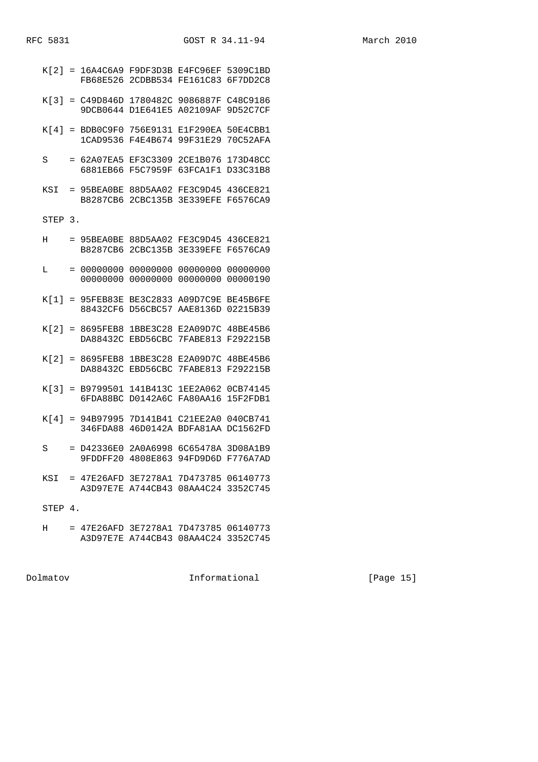| K[2]    | $=$ | 16A4C6A9<br>FB68E526        | F9DF3D3B<br>2CDBB534        | E4FC96EF<br>FE161C83                                                         | 5309C1BD<br>6F7DD2C8        |
|---------|-----|-----------------------------|-----------------------------|------------------------------------------------------------------------------|-----------------------------|
| K[3]    | $=$ | C49D846D<br>9DCB0644        | 1780482C<br>D1E641E5        | 9086887F<br>A02109AF                                                         | C48C9186<br>9D52C7CF        |
| K[4]    | $=$ | BDB0C9F0<br>1CAD9536        | 756E9131<br>F4E4B674        | E1F290EA<br>99F31E29                                                         | 50E4CBB1<br>70C52AFA        |
| S       | $=$ | 62A07EA5<br>6881EB66        | EF3C3309<br>F5C7959F        | 2CE1B076<br>63FCA1F1                                                         | 173D48CC<br>D33C31B8        |
| KSI     | $=$ | 95BEA0BE<br><b>B8287CB6</b> | 88D5AA02<br>2CBC135B        | FE3C9D45<br><b>3E339EFE</b>                                                  | 436CE821<br>F6576CA9        |
| STEP    | 3.  |                             |                             |                                                                              |                             |
| Н       | $=$ | 95BEA0BE<br><b>B8287CB6</b> | 88D5AA02<br>2CBC135B        | FE3C9D45<br><b>3E339EFE</b>                                                  | 436CE821<br>F6576CA9        |
| L       | $=$ | 00000000<br>00000000        | 00000000<br>00000000        | 00000000<br>00000000                                                         | 00000000<br>00000190        |
| K[1]    | $=$ | 95FEB83E<br>88432CF6        | <b>BE3C2833</b><br>D56CBC57 | A09D7C9E<br>AAE8136D                                                         | BE45B6FE<br>02215B39        |
| K[2]    | $=$ | 8695FEB8<br>DA88432C        | 1BBE3C28<br>EBD56CBC        | E2A09D7C<br>7FABE813                                                         | 48BE45B6<br>F292215B        |
| K[2]    | $=$ | 8695FEB8<br>DA88432C        | 1BBE3C28<br>EBD56CBC        | E2A09D7C<br>7FABE813                                                         | 48BE45B6<br>F292215B        |
| K[3]    | $=$ | B9799501<br>6FDA88BC        | 141B413C<br>D0142A6C        | 1EE2A062<br>FA80AA16                                                         | 0CB74145<br>15F2FDB1        |
| K[4]    | $=$ | 94B97995<br>346FDA88        | 7D141B41<br>46D0142A        | C21EE2A0<br>BDFA81AA                                                         | 040CB741<br><b>DC1562FD</b> |
| S       | $=$ | D42336E0<br>9FDDFF20        | 2A0A6998<br>4808E863        | 6C65478A<br>94FD9D6D                                                         | 3D08A1B9<br>F776A7AD        |
| KSI     |     |                             | A3D97E7E A744CB43           | $= 47E26$ AFD 3E7278A1 7D473785 06140773<br>08AA4C24 3352C745                |                             |
| STEP 4. |     |                             |                             |                                                                              |                             |
| н       |     |                             |                             | = 47E26AFD 3E7278A1 7D473785 06140773<br>A3D97E7E A744CB43 08AA4C24 3352C745 |                             |

Dolmatov Informational [Page 15]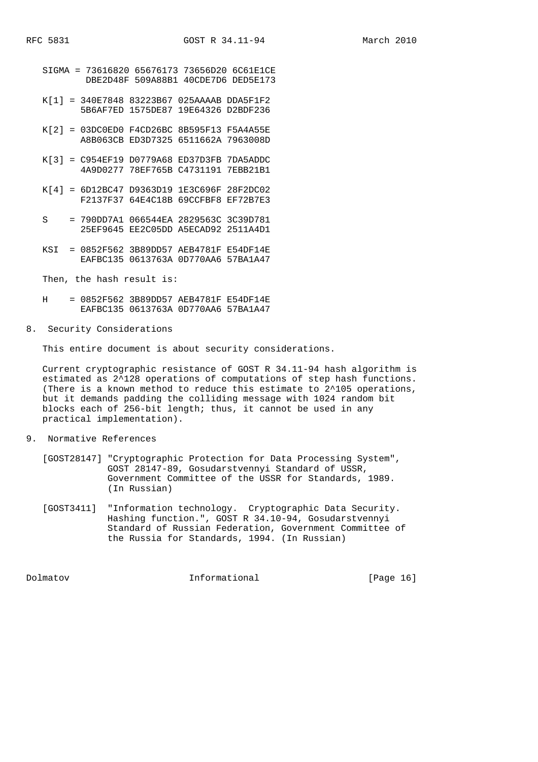| March | 2010 |
|-------|------|
|       |      |

- SIGMA = 73616820 65676173 73656D20 6C61E1CE DBE2D48F 509A88B1 40CDE7D6 DED5E173 K[1] = 340E7848 83223B67 025AAAAB DDA5F1F2 5B6AF7ED 1575DE87 19E64326 D2BDF236 K[2] = 03DC0ED0 F4CD26BC 8B595F13 F5A4A55E A8B063CB ED3D7325 6511662A 7963008D
	- K[3] = C954EF19 D0779A68 ED37D3FB 7DA5ADDC 4A9D0277 78EF765B C4731191 7EBB21B1
	- K[4] = 6D12BC47 D9363D19 1E3C696F 28F2DC02 F2137F37 64E4C18B 69CCFBF8 EF72B7E3
	- S = 790DD7A1 066544EA 2829563C 3C39D781 25EF9645 EE2C05DD A5ECAD92 2511A4D1
	- KSI = 0852F562 3B89DD57 AEB4781F E54DF14E EAFBC135 0613763A 0D770AA6 57BA1A47

Then, the hash result is:

- H = 0852F562 3B89DD57 AEB4781F E54DF14E EAFBC135 0613763A 0D770AA6 57BA1A47
- 8. Security Considerations

This entire document is about security considerations.

 Current cryptographic resistance of GOST R 34.11-94 hash algorithm is estimated as 2^128 operations of computations of step hash functions. (There is a known method to reduce this estimate to 2^105 operations, but it demands padding the colliding message with 1024 random bit blocks each of 256-bit length; thus, it cannot be used in any practical implementation).

- 9. Normative References
	- [GOST28147] "Cryptographic Protection for Data Processing System", GOST 28147-89, Gosudarstvennyi Standard of USSR, Government Committee of the USSR for Standards, 1989. (In Russian)
	- [GOST3411] "Information technology. Cryptographic Data Security. Hashing function.", GOST R 34.10-94, Gosudarstvennyi Standard of Russian Federation, Government Committee of the Russia for Standards, 1994. (In Russian)

Dolmatov Informational [Page 16]